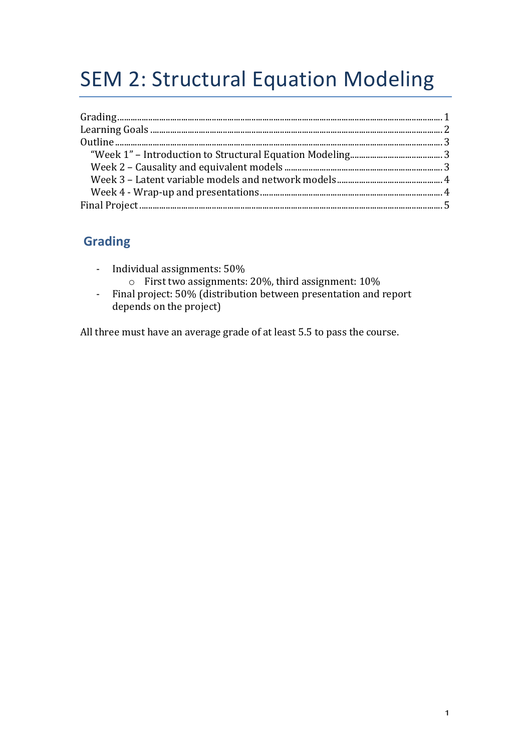# **SEM 2: Structural Equation Modeling**

## **Grading**

- Individual assignments:  $50\%$ 
	- $\circ$  First two assignments: 20%, third assignment: 10%
- Final project: 50% (distribution between presentation and report depends on the project)

All three must have an average grade of at least 5.5 to pass the course.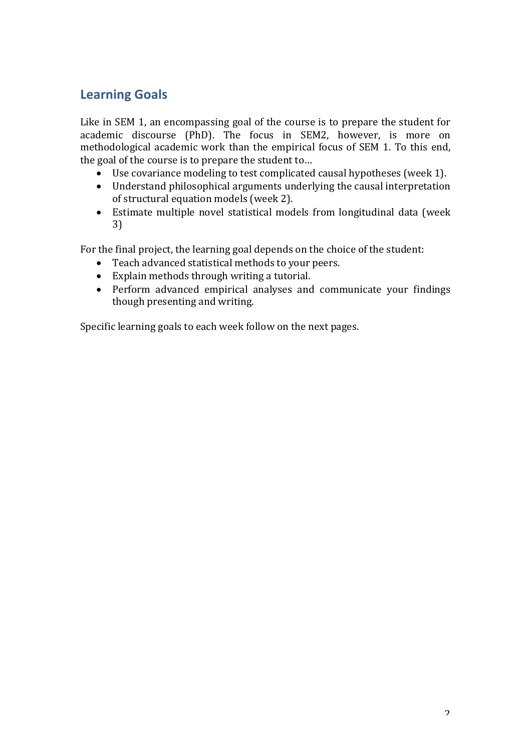## **Learning Goals**

Like in SEM 1, an encompassing goal of the course is to prepare the student for academic discourse (PhD). The focus in SEM2, however, is more on methodological academic work than the empirical focus of SEM 1. To this end, the goal of the course is to prepare the student to...

- Use covariance modeling to test complicated causal hypotheses (week 1).
- Understand philosophical arguments underlying the causal interpretation of structural equation models (week 2).
- Estimate multiple novel statistical models from longitudinal data (week 3)

For the final project, the learning goal depends on the choice of the student:

- Teach advanced statistical methods to your peers.
- Explain methods through writing a tutorial.
- Perform advanced empirical analyses and communicate your findings though presenting and writing.

Specific learning goals to each week follow on the next pages.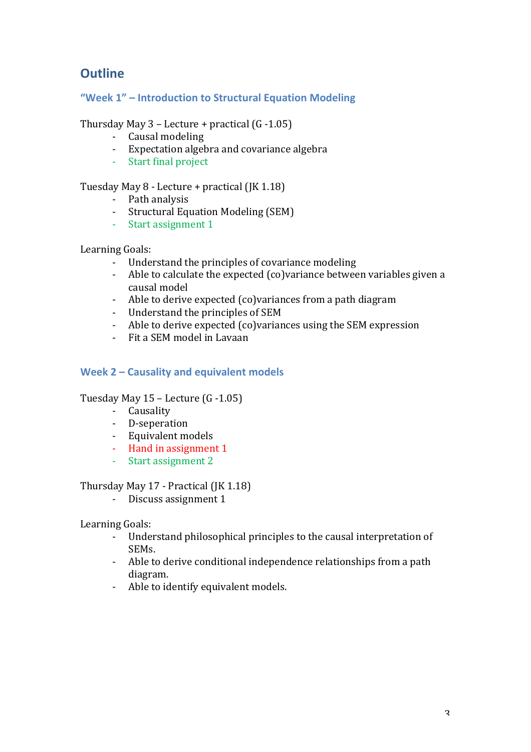# **Outline**

**"Week 1" – Introduction to Structural Equation Modeling**

Thursday May  $3$  – Lecture + practical (G -1.05)

- Causal modeling
- Expectation algebra and covariance algebra
- Start final project

Tuesday May 8 - Lecture + practical (JK 1.18)

- Path analysis
- Structural Equation Modeling (SEM)
- Start assignment 1

Learning Goals:

- Understand the principles of covariance modeling
- Able to calculate the expected (co)variance between variables given a causal model
- Able to derive expected (co)variances from a path diagram
- Understand the principles of SEM
- Able to derive expected (co)variances using the SEM expression
- Fit a SEM model in Lavaan

## **Week 2 – Causality and equivalent models**

Tuesday May 15 – Lecture (G -1.05)

- Causality
- D-seperation
- Equivalent models
- Hand in assignment 1
- Start assignment 2

Thursday May 17 - Practical (JK 1.18)

- Discuss assignment 1

Learning Goals:

- Understand philosophical principles to the causal interpretation of SEMs.
- Able to derive conditional independence relationships from a path diagram.
- Able to identify equivalent models.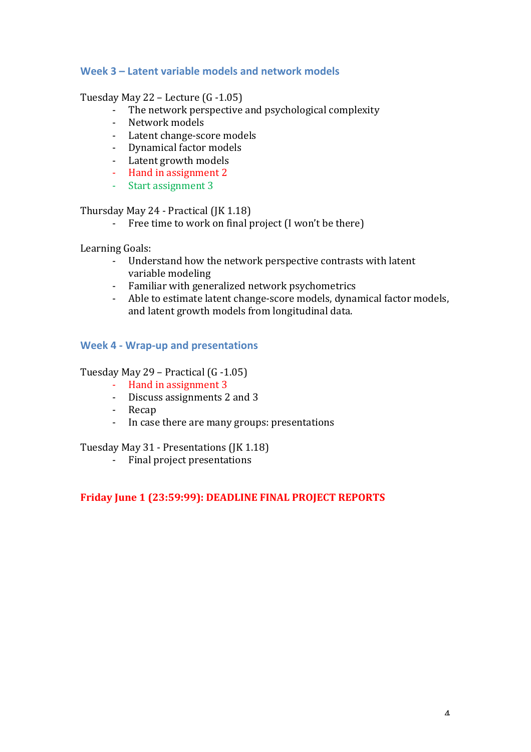### Week 3 – Latent variable models and network models

#### Tuesday May 22 – Lecture  $(G - 1.05)$

- The network perspective and psychological complexity
- Network models
- Latent change-score models
- Dynamical factor models
- Latent growth models
- Hand in assignment 2
- Start assignment 3

#### Thursday May 24 - Practical (JK 1.18)

- Free time to work on final project (I won't be there)

Learning Goals:

- Understand how the network perspective contrasts with latent variable modeling
- Familiar with generalized network psychometrics
- Able to estimate latent change-score models, dynamical factor models, and latent growth models from longitudinal data.

#### **Week 4 - Wrap-up and presentations**

#### Tuesday May 29 – Practical (G -1.05)

- Hand in assignment 3
- Discuss assignments 2 and 3
- Recap
- In case there are many groups: presentations

Tuesday May 31 - Presentations (JK 1.18)

- Final project presentations

#### **Friday June 1 (23:59:99): DEADLINE FINAL PROJECT REPORTS**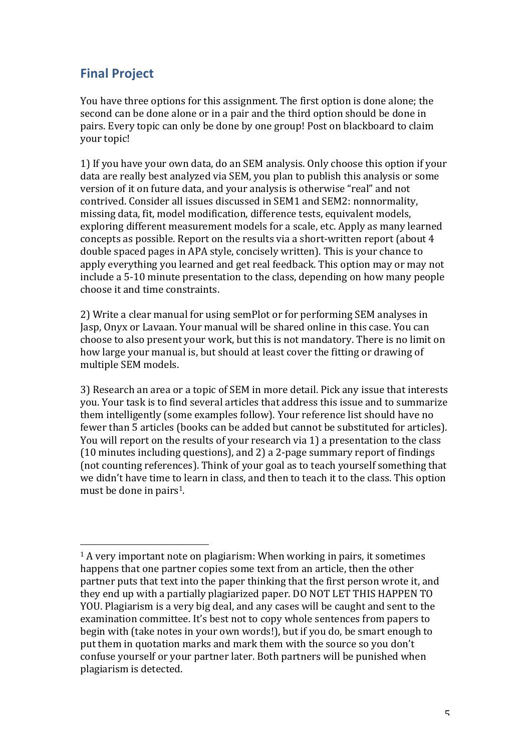# **Final Project**

 

You have three options for this assignment. The first option is done alone; the second can be done alone or in a pair and the third option should be done in pairs. Every topic can only be done by one group! Post on blackboard to claim your topic!

1) If you have your own data, do an SEM analysis. Only choose this option if your data are really best analyzed via SEM, you plan to publish this analysis or some version of it on future data, and your analysis is otherwise "real" and not contrived. Consider all issues discussed in SEM1 and SEM2: nonnormality, missing data, fit, model modification, difference tests, equivalent models, exploring different measurement models for a scale, etc. Apply as many learned concepts as possible. Report on the results via a short-written report (about 4 double spaced pages in APA style, concisely written). This is your chance to apply everything you learned and get real feedback. This option may or may not include a 5-10 minute presentation to the class, depending on how many people choose it and time constraints.

2) Write a clear manual for using semPlot or for performing SEM analyses in Jasp, Onyx or Lavaan. Your manual will be shared online in this case. You can choose to also present your work, but this is not mandatory. There is no limit on how large your manual is, but should at least cover the fitting or drawing of multiple SEM models.

3) Research an area or a topic of SEM in more detail. Pick any issue that interests you. Your task is to find several articles that address this issue and to summarize them intelligently (some examples follow). Your reference list should have no fewer than 5 articles (books can be added but cannot be substituted for articles). You will report on the results of your research via 1) a presentation to the class (10 minutes including questions), and 2) a 2-page summary report of findings (not counting references). Think of your goal as to teach yourself something that we didn't have time to learn in class, and then to teach it to the class. This option must be done in pairs<sup>1</sup>.

 $1$  A very important note on plagiarism: When working in pairs, it sometimes happens that one partner copies some text from an article, then the other partner puts that text into the paper thinking that the first person wrote it, and they end up with a partially plagiarized paper. DO NOT LET THIS HAPPEN TO YOU. Plagiarism is a very big deal, and any cases will be caught and sent to the examination committee. It's best not to copy whole sentences from papers to begin with (take notes in your own words!), but if you do, be smart enough to put them in quotation marks and mark them with the source so you don't confuse yourself or your partner later. Both partners will be punished when plagiarism is detected.